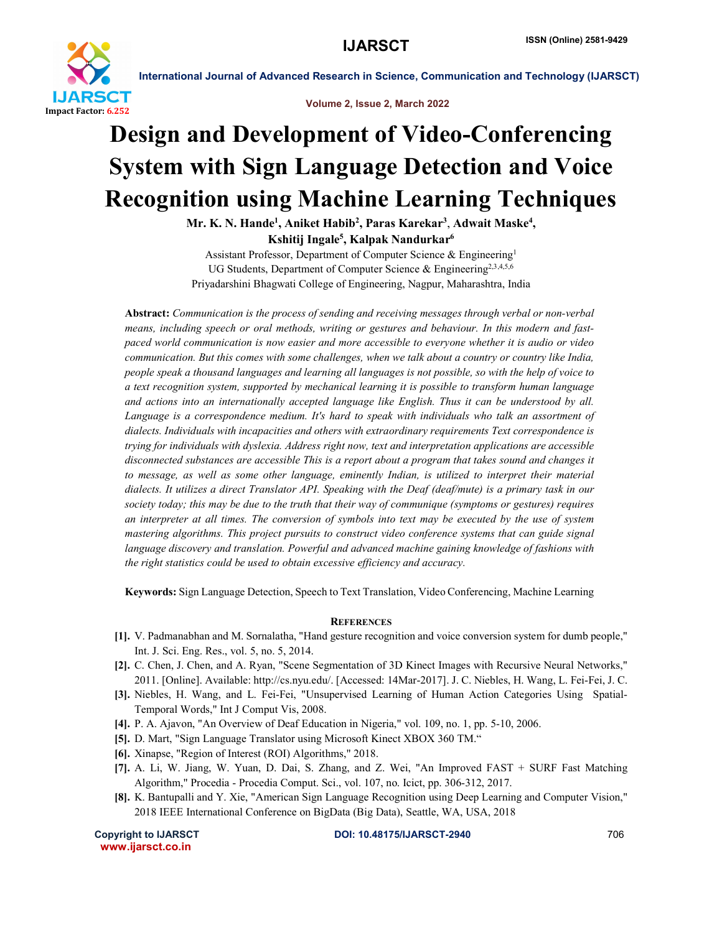

International Journal of Advanced Research in Science, Communication and Technology (IJARSCT)

#### Volume 2, Issue 2, March 2022

# Design and Development of Video-Conferencing System with Sign Language Detection and Voice Recognition using Machine Learning Techniques

Mr. K. N. Hande<sup>1</sup>, Aniket Habib<sup>2</sup>, Paras Karekar<sup>3</sup>, Adwait Maske<sup>4</sup>, Kshitij Ingale<sup>5</sup>, Kalpak Nandurkar<sup>6</sup>

Assistant Professor, Department of Computer Science & Engineering1 UG Students, Department of Computer Science & Engineering<sup>2,3,4,5,6</sup> Priyadarshini Bhagwati College of Engineering, Nagpur, Maharashtra, India

Abstract: *Communication is the process of sending and receiving messages through verbal or non-verbal means, including speech or oral methods, writing or gestures and behaviour. In this modern and fastpaced world communication is now easier and more accessible to everyone whether it is audio or video communication. But this comes with some challenges, when we talk about a country or country like India, people speak a thousand languages and learning all languages is not possible, so with the help of voice to a text recognition system, supported by mechanical learning it is possible to transform human language and actions into an internationally accepted language like English. Thus it can be understood by all.*  Language is a correspondence medium. It's hard to speak with individuals who talk an assortment of *dialects. Individuals with incapacities and others with extraordinary requirements Text correspondence is trying for individuals with dyslexia. Address right now, text and interpretation applications are accessible disconnected substances are accessible This is a report about a program that takes sound and changes it to message, as well as some other language, eminently Indian, is utilized to interpret their material dialects. It utilizes a direct Translator API. Speaking with the Deaf (deaf/mute) is a primary task in our*  society today; this may be due to the truth that their way of communique (symptoms or gestures) requires *an interpreter at all times. The conversion of symbols into text may be executed by the use of system mastering algorithms. This project pursuits to construct video conference systems that can guide signal language discovery and translation. Powerful and advanced machine gaining knowledge of fashions with the right statistics could be used to obtain excessive efficiency and accuracy.*

Keywords: Sign Language Detection, Speech to Text Translation, Video Conferencing, Machine Learning

### **REFERENCES**

- [1]. V. Padmanabhan and M. Sornalatha, "Hand gesture recognition and voice conversion system for dumb people," Int. J. Sci. Eng. Res., vol. 5, no. 5, 2014.
- [2]. C. Chen, J. Chen, and A. Ryan, "Scene Segmentation of 3D Kinect Images with Recursive Neural Networks," 2011. [Online]. Available: http://cs.nyu.edu/. [Accessed: 14Mar-2017]. J. C. Niebles, H. Wang, L. Fei-Fei, J. C.
- [3]. Niebles, H. Wang, and L. Fei-Fei, "Unsupervised Learning of Human Action Categories Using Spatial-Temporal Words," Int J Comput Vis, 2008.
- [4]. P. A. Ajavon, "An Overview of Deaf Education in Nigeria," vol. 109, no. 1, pp. 5-10, 2006.
- [5]. D. Mart, "Sign Language Translator using Microsoft Kinect XBOX 360 TM."
- [6]. Xinapse, "Region of Interest (ROI) Algorithms," 2018.
- [7]. A. Li, W. Jiang, W. Yuan, D. Dai, S. Zhang, and Z. Wei, "An Improved FAST + SURF Fast Matching Algorithm," Procedia - Procedia Comput. Sci., vol. 107, no. Icict, pp. 306-312, 2017.
- [8]. K. Bantupalli and Y. Xie, "American Sign Language Recognition using Deep Learning and Computer Vision," 2018 IEEE International Conference on BigData (Big Data), Seattle, WA, USA, 2018

www.ijarsct.co.in

Copyright to IJARSCT **DOI: 10.48175/IJARSCT-2940** 706